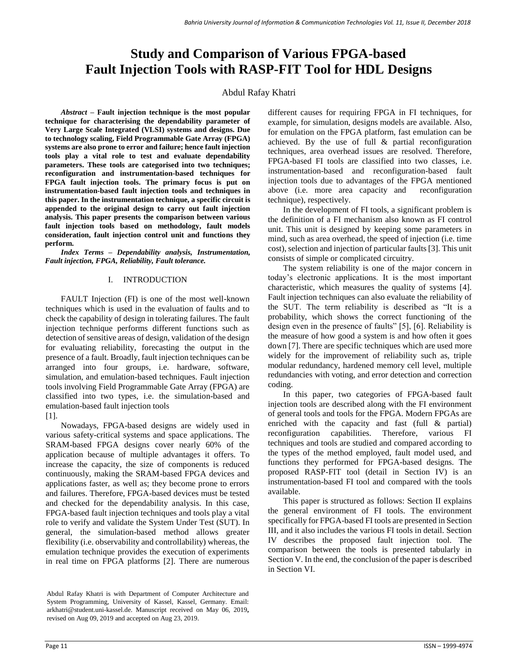# **Study and Comparison of Various FPGA-based Fault Injection Tools with RASP-FIT Tool for HDL Designs**

## Abdul Rafay Khatri

*Abstract –* **Fault injection technique is the most popular technique for characterising the dependability parameter of Very Large Scale Integrated (VLSI) systems and designs. Due to technology scaling, Field Programmable Gate Array (FPGA) systems are also prone to error and failure; hence fault injection tools play a vital role to test and evaluate dependability parameters. These tools are categorised into two techniques; reconfiguration and instrumentation-based techniques for FPGA fault injection tools. The primary focus is put on instrumentation-based fault injection tools and techniques in this paper. In the instrumentation technique, a specific circuit is appended to the original design to carry out fault injection analysis. This paper presents the comparison between various fault injection tools based on methodology, fault models consideration, fault injection control unit and functions they perform.**

*Index Terms – Dependability analysis, Instrumentation, Fault injection, FPGA, Reliability, Fault tolerance.*

## I. INTRODUCTION

FAULT Injection (FI) is one of the most well-known techniques which is used in the evaluation of faults and to check the capability of design in tolerating failures. The fault injection technique performs different functions such as detection of sensitive areas of design, validation of the design for evaluating reliability, forecasting the output in the presence of a fault. Broadly, fault injection techniques can be arranged into four groups, i.e. hardware, software, simulation, and emulation-based techniques. Fault injection tools involving Field Programmable Gate Array (FPGA) are classified into two types, i.e. the simulation-based and emulation-based fault injection tools

## [1].

Nowadays, FPGA-based designs are widely used in various safety-critical systems and space applications. The SRAM-based FPGA designs cover nearly 60% of the application because of multiple advantages it offers. To increase the capacity, the size of components is reduced continuously, making the SRAM-based FPGA devices and applications faster, as well as; they become prone to errors and failures. Therefore, FPGA-based devices must be tested and checked for the dependability analysis. In this case, FPGA-based fault injection techniques and tools play a vital role to verify and validate the System Under Test (SUT). In general, the simulation-based method allows greater flexibility (i.e. observability and controllability) whereas, the emulation technique provides the execution of experiments in real time on FPGA platforms [2]. There are numerous different causes for requiring FPGA in FI techniques, for example, for simulation, designs models are available. Also, for emulation on the FPGA platform, fast emulation can be achieved. By the use of full & partial reconfiguration techniques, area overhead issues are resolved. Therefore, FPGA-based FI tools are classified into two classes, i.e. instrumentation-based and reconfiguration-based fault injection tools due to advantages of the FPGA mentioned above (i.e. more area capacity and reconfiguration technique), respectively.

In the development of FI tools, a significant problem is the definition of a FI mechanism also known as FI control unit. This unit is designed by keeping some parameters in mind, such as area overhead, the speed of injection (i.e. time cost), selection and injection of particular faults [3]. This unit consists of simple or complicated circuitry.

The system reliability is one of the major concern in today's electronic applications. It is the most important characteristic, which measures the quality of systems [4]. Fault injection techniques can also evaluate the reliability of the SUT. The term reliability is described as "It is a probability, which shows the correct functioning of the design even in the presence of faults" [5], [6]. Reliability is the measure of how good a system is and how often it goes down [7]. There are specific techniques which are used more widely for the improvement of reliability such as, triple modular redundancy, hardened memory cell level, multiple redundancies with voting, and error detection and correction coding.

In this paper, two categories of FPGA-based fault injection tools are described along with the FI environment of general tools and tools for the FPGA. Modern FPGAs are enriched with the capacity and fast (full & partial) reconfiguration capabilities. Therefore, various FI techniques and tools are studied and compared according to the types of the method employed, fault model used, and functions they performed for FPGA-based designs. The proposed RASP-FIT tool (detail in Section IV) is an instrumentation-based FI tool and compared with the tools available.

This paper is structured as follows: Section II explains the general environment of FI tools. The environment specifically for FPGA-based FI tools are presented in Section III, and it also includes the various FI tools in detail. Section IV describes the proposed fault injection tool. The comparison between the tools is presented tabularly in Section V. In the end, the conclusion of the paper is described in Section VI.

Abdul Rafay Khatri is with Department of Computer Architecture and System Programming, University of Kassel, Kassel, Germany. Email: arkhatri@student.uni-kassel.de. Manuscript received on May 06, 2019**,**  revised on Aug 09, 2019 and accepted on Aug 23, 2019.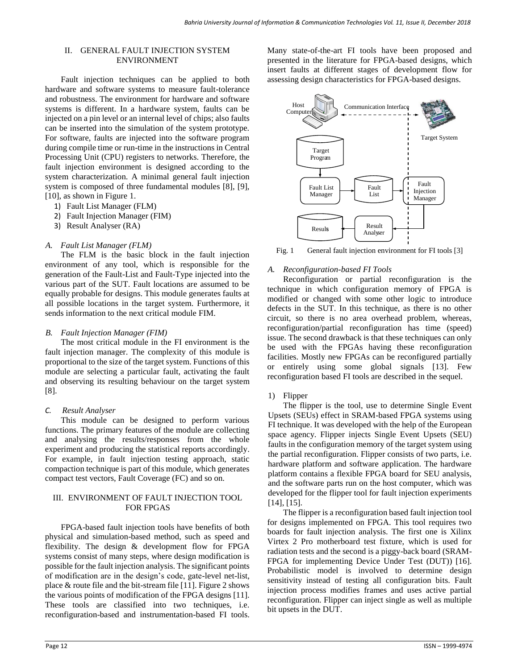#### II. GENERAL FAULT INJECTION SYSTEM ENVIRONMENT

Fault injection techniques can be applied to both hardware and software systems to measure fault-tolerance and robustness. The environment for hardware and software systems is different. In a hardware system, faults can be injected on a pin level or an internal level of chips; also faults can be inserted into the simulation of the system prototype. For software, faults are injected into the software program during compile time or run-time in the instructions in Central Processing Unit (CPU) registers to networks. Therefore, the fault injection environment is designed according to the system characterization. A minimal general fault injection system is composed of three fundamental modules [8], [9], [10], as shown in Figure 1.

- 1) Fault List Manager (FLM)
- 2) Fault Injection Manager (FIM)
- 3) Result Analyser (RA)

#### *A. Fault List Manager (FLM)*

The FLM is the basic block in the fault injection environment of any tool, which is responsible for the generation of the Fault-List and Fault-Type injected into the various part of the SUT. Fault locations are assumed to be equally probable for designs. This module generates faults at all possible locations in the target system. Furthermore, it sends information to the next critical module FIM.

#### *B. Fault Injection Manager (FIM)*

The most critical module in the FI environment is the fault injection manager. The complexity of this module is proportional to the size of the target system. Functions of this module are selecting a particular fault, activating the fault and observing its resulting behaviour on the target system [8].

#### *C. Result Analyser*

This module can be designed to perform various functions. The primary features of the module are collecting and analysing the results/responses from the whole experiment and producing the statistical reports accordingly. For example, in fault injection testing approach, static compaction technique is part of this module, which generates compact test vectors, Fault Coverage (FC) and so on.

#### III. ENVIRONMENT OF FAULT INJECTION TOOL FOR FPGAS

FPGA-based fault injection tools have benefits of both physical and simulation-based method, such as speed and flexibility. The design & development flow for FPGA systems consist of many steps, where design modification is possible for the fault injection analysis. The significant points of modification are in the design's code, gate-level net-list, place & route file and the bit-stream file [11]. Figure 2 shows the various points of modification of the FPGA designs [11]. These tools are classified into two techniques, i.e. reconfiguration-based and instrumentation-based FI tools.

Many state-of-the-art FI tools have been proposed and presented in the literature for FPGA-based designs, which insert faults at different stages of development flow for assessing design characteristics for FPGA-based designs.



Fig. 1 General fault injection environment for FI tools [3]

## *A. Reconfiguration-based FI Tools*

Reconfiguration or partial reconfiguration is the technique in which configuration memory of FPGA is modified or changed with some other logic to introduce defects in the SUT. In this technique, as there is no other circuit, so there is no area overhead problem, whereas, reconfiguration/partial reconfiguration has time (speed) issue. The second drawback is that these techniques can only be used with the FPGAs having these reconfiguration facilities. Mostly new FPGAs can be reconfigured partially or entirely using some global signals [13]. Few reconfiguration based FI tools are described in the sequel.

## 1) Flipper

The flipper is the tool, use to determine Single Event Upsets (SEUs) effect in SRAM-based FPGA systems using FI technique. It was developed with the help of the European space agency. Flipper injects Single Event Upsets (SEU) faults in the configuration memory of the target system using the partial reconfiguration. Flipper consists of two parts, i.e. hardware platform and software application. The hardware platform contains a flexible FPGA board for SEU analysis, and the software parts run on the host computer, which was developed for the flipper tool for fault injection experiments [14], [15].

The flipper is a reconfiguration based fault injection tool for designs implemented on FPGA. This tool requires two boards for fault injection analysis. The first one is Xilinx Virtex 2 Pro motherboard test fixture, which is used for radiation tests and the second is a piggy-back board (SRAM-FPGA for implementing Device Under Test (DUT)) [16]. Probabilistic model is involved to determine design sensitivity instead of testing all configuration bits. Fault injection process modifies frames and uses active partial reconfiguration. Flipper can inject single as well as multiple bit upsets in the DUT.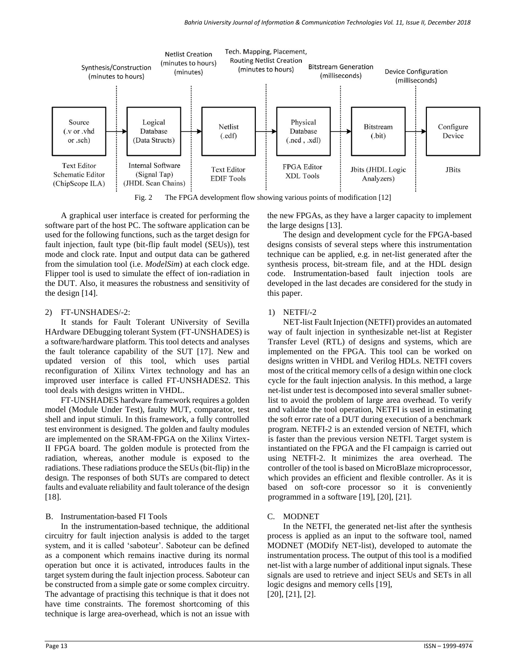

Fig. 2 The FPGA development flow showing various points of modification [12]

A graphical user interface is created for performing the software part of the host PC. The software application can be used for the following functions, such as the target design for fault injection, fault type (bit-flip fault model (SEUs)), test mode and clock rate. Input and output data can be gathered from the simulation tool (i.e. *ModelSim*) at each clock edge. Flipper tool is used to simulate the effect of ion-radiation in the DUT. Also, it measures the robustness and sensitivity of the design [14].

#### 2) FT-UNSHADES/-2:

It stands for Fault Tolerant UNiversity of Sevilla HArdware DEbugging tolerant System (FT-UNSHADES) is a software/hardware platform. This tool detects and analyses the fault tolerance capability of the SUT [17]. New and updated version of this tool, which uses partial reconfiguration of Xilinx Virtex technology and has an improved user interface is called FT-UNSHADES2. This tool deals with designs written in VHDL.

FT-UNSHADES hardware framework requires a golden model (Module Under Test), faulty MUT, comparator, test shell and input stimuli. In this framework, a fully controlled test environment is designed. The golden and faulty modules are implemented on the SRAM-FPGA on the Xilinx Virtex-II FPGA board. The golden module is protected from the radiation, whereas, another module is exposed to the radiations. These radiations produce the SEUs (bit-flip) in the design. The responses of both SUTs are compared to detect faults and evaluate reliability and fault tolerance of the design [18].

## B. Instrumentation-based FI Tools

In the instrumentation-based technique, the additional circuitry for fault injection analysis is added to the target system, and it is called 'saboteur'. Saboteur can be defined as a component which remains inactive during its normal operation but once it is activated, introduces faults in the target system during the fault injection process. Saboteur can be constructed from a simple gate or some complex circuitry. The advantage of practising this technique is that it does not have time constraints. The foremost shortcoming of this technique is large area-overhead, which is not an issue with the new FPGAs, as they have a larger capacity to implement the large designs [13].

The design and development cycle for the FPGA-based designs consists of several steps where this instrumentation technique can be applied, e.g. in net-list generated after the synthesis process, bit-stream file, and at the HDL design code. Instrumentation-based fault injection tools are developed in the last decades are considered for the study in this paper.

#### 1) NETFI/-2

NET-list Fault Injection (NETFI) provides an automated way of fault injection in synthesizable net-list at Register Transfer Level (RTL) of designs and systems, which are implemented on the FPGA. This tool can be worked on designs written in VHDL and Verilog HDLs. NETFI covers most of the critical memory cells of a design within one clock cycle for the fault injection analysis. In this method, a large net-list under test is decomposed into several smaller subnetlist to avoid the problem of large area overhead. To verify and validate the tool operation, NETFI is used in estimating the soft error rate of a DUT during execution of a benchmark program. NETFI-2 is an extended version of NETFI, which is faster than the previous version NETFI. Target system is instantiated on the FPGA and the FI campaign is carried out using NETFI-2. It minimizes the area overhead. The controller of the tool is based on MicroBlaze microprocessor, which provides an efficient and flexible controller. As it is based on soft-core processor so it is conveniently programmed in a software [19], [20], [21].

## C. MODNET

In the NETFI, the generated net-list after the synthesis process is applied as an input to the software tool, named MODNET (MODify NET-list), developed to automate the instrumentation process. The output of this tool is a modified net-list with a large number of additional input signals. These signals are used to retrieve and inject SEUs and SETs in all logic designs and memory cells [19], [20], [21], [2].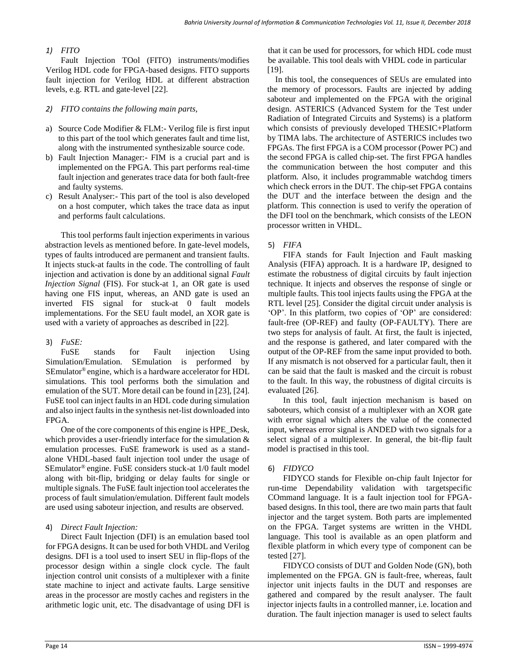## *1) FITO*

Fault Injection TOol (FITO) instruments/modifies Verilog HDL code for FPGA-based designs. FITO supports fault injection for Verilog HDL at different abstraction levels, e.g. RTL and gate-level [22].

## *2) FITO contains the following main parts,*

- a) Source Code Modifier & FLM:- Verilog file is first input to this part of the tool which generates fault and time list, along with the instrumented synthesizable source code.
- b) Fault Injection Manager:- FIM is a crucial part and is implemented on the FPGA. This part performs real-time fault injection and generates trace data for both fault-free and faulty systems.
- c) Result Analyser:- This part of the tool is also developed on a host computer, which takes the trace data as input and performs fault calculations.

This tool performs fault injection experiments in various abstraction levels as mentioned before. In gate-level models, types of faults introduced are permanent and transient faults. It injects stuck-at faults in the code. The controlling of fault injection and activation is done by an additional signal *Fault Injection Signal* (FIS). For stuck-at 1, an OR gate is used having one FIS input, whereas, an AND gate is used an inverted FIS signal for stuck-at 0 fault models implementations. For the SEU fault model, an XOR gate is used with a variety of approaches as described in [22].

## 3) *FuSE:*

FuSE stands for Fault injection Using Simulation/Emulation. SEmulation is performed by SEmulator® engine, which is a hardware accelerator for HDL simulations. This tool performs both the simulation and emulation of the SUT. More detail can be found in [23], [24]. FuSE tool can inject faults in an HDL code during simulation and also inject faults in the synthesis net-list downloaded into FPGA.

One of the core components of this engine is HPE\_Desk, which provides a user-friendly interface for the simulation  $\&$ emulation processes. FuSE framework is used as a standalone VHDL-based fault injection tool under the usage of SEmulator® engine. FuSE considers stuck-at 1/0 fault model along with bit-flip, bridging or delay faults for single or multiple signals. The FuSE fault injection tool accelerates the process of fault simulation/emulation. Different fault models are used using saboteur injection, and results are observed.

## 4) *Direct Fault Injection:*

Direct Fault Injection (DFI) is an emulation based tool for FPGA designs. It can be used for both VHDL and Verilog designs. DFI is a tool used to insert SEU in flip-flops of the processor design within a single clock cycle. The fault injection control unit consists of a multiplexer with a finite state machine to inject and activate faults. Large sensitive areas in the processor are mostly caches and registers in the arithmetic logic unit, etc. The disadvantage of using DFI is that it can be used for processors, for which HDL code must be available. This tool deals with VHDL code in particular [19].

In this tool, the consequences of SEUs are emulated into the memory of processors. Faults are injected by adding saboteur and implemented on the FPGA with the original design. ASTERICS (Advanced System for the Test under Radiation of Integrated Circuits and Systems) is a platform which consists of previously developed THESIC+Platform by TIMA labs. The architecture of ASTERICS includes two FPGAs. The first FPGA is a COM processor (Power PC) and the second FPGA is called chip-set. The first FPGA handles the communication between the host computer and this platform. Also, it includes programmable watchdog timers which check errors in the DUT. The chip-set FPGA contains the DUT and the interface between the design and the platform. This connection is used to verify the operation of the DFI tool on the benchmark, which consists of the LEON processor written in VHDL.

## 5) *FIFA*

FIFA stands for Fault Injection and Fault masking Analysis (FIFA) approach. It is a hardware IP, designed to estimate the robustness of digital circuits by fault injection technique. It injects and observes the response of single or multiple faults. This tool injects faults using the FPGA at the RTL level [25]. Consider the digital circuit under analysis is 'OP'. In this platform, two copies of 'OP' are considered: fault-free (OP-REF) and faulty (OP-FAULTY). There are two steps for analysis of fault. At first, the fault is injected, and the response is gathered, and later compared with the output of the OP-REF from the same input provided to both. If any mismatch is not observed for a particular fault, then it can be said that the fault is masked and the circuit is robust to the fault. In this way, the robustness of digital circuits is evaluated [26].

In this tool, fault injection mechanism is based on saboteurs, which consist of a multiplexer with an XOR gate with error signal which alters the value of the connected input, whereas error signal is ANDED with two signals for a select signal of a multiplexer. In general, the bit-flip fault model is practised in this tool.

## 6) *FIDYCO*

FIDYCO stands for Flexible on-chip fault Injector for run-time Dependability validation with targetspecific COmmand language. It is a fault injection tool for FPGAbased designs. In this tool, there are two main parts that fault injector and the target system. Both parts are implemented on the FPGA. Target systems are written in the VHDL language. This tool is available as an open platform and flexible platform in which every type of component can be tested [27].

FIDYCO consists of DUT and Golden Node (GN), both implemented on the FPGA. GN is fault-free, whereas, fault injector unit injects faults in the DUT and responses are gathered and compared by the result analyser. The fault injector injects faults in a controlled manner, i.e. location and duration. The fault injection manager is used to select faults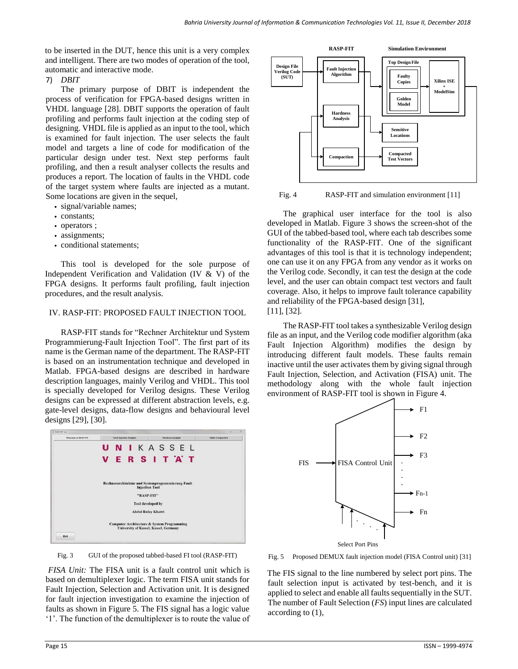to be inserted in the DUT, hence this unit is a very complex and intelligent. There are two modes of operation of the tool, automatic and interactive mode.

## 7) *DBIT*

The primary purpose of DBIT is independent the process of verification for FPGA-based designs written in VHDL language [28]. DBIT supports the operation of fault profiling and performs fault injection at the coding step of designing. VHDL file is applied as an input to the tool, which is examined for fault injection. The user selects the fault model and targets a line of code for modification of the particular design under test. Next step performs fault profiling, and then a result analyser collects the results and produces a report. The location of faults in the VHDL code of the target system where faults are injected as a mutant. Some locations are given in the sequel,

- *•* signal/variable names;
- *•* constants;
- *•* operators ;
- assignments;
- *•* conditional statements;

This tool is developed for the sole purpose of Independent Verification and Validation (IV & V) of the FPGA designs. It performs fault profiling, fault injection procedures, and the result analysis.

#### IV. RASP-FIT: PROPOSED FAULT INJECTION TOOL

RASP-FIT stands for "Rechner Architektur und System Programmierung-Fault Injection Tool". The first part of its name is the German name of the department. The RASP-FIT is based on an instrumentation technique and developed in Matlab. FPGA-based designs are described in hardware description languages, mainly Verilog and VHDL. This tool is specially developed for Verilog designs. These Verilog designs can be expressed at different abstraction levels, e.g. gate-level designs, data-flow designs and behavioural level designs [29], [30].



GUI of the proposed tabbed-based FI tool (RASP-FIT) Fig. 3

*FISA Unit:* The FISA unit is a fault control unit which is based on demultiplexer logic. The term FISA unit stands for Fault Injection, Selection and Activation unit. It is designed for fault injection investigation to examine the injection of faults as shown in Figure 5. The FIS signal has a logic value '1'. The function of the demultiplexer is to route the value of



Fig. 4 RASP-FIT and simulation environment [11]

The graphical user interface for the tool is also developed in Matlab. Figure 3 shows the screen-shot of the GUI of the tabbed-based tool, where each tab describes some functionality of the RASP-FIT. One of the significant advantages of this tool is that it is technology independent; one can use it on any FPGA from any vendor as it works on the Verilog code. Secondly, it can test the design at the code level, and the user can obtain compact test vectors and fault coverage. Also, it helps to improve fault tolerance capability and reliability of the FPGA-based design [31], [11], [32].

The RASP-FIT tool takes a synthesizable Verilog design file as an input, and the Verilog code modifier algorithm (aka Fault Injection Algorithm) modifies the design by introducing different fault models. These faults remain inactive until the user activates them by giving signal through Fault Injection, Selection, and Activation (FISA) unit. The methodology along with the whole fault injection environment of RASP-FIT tool is shown in Figure 4.



Fig. 5 Proposed DEMUX fault injection model (FISA Control unit) [31]

The FIS signal to the line numbered by select port pins. The fault selection input is activated by test-bench, and it is applied to select and enable all faults sequentially in the SUT. The number of Fault Selection (*FS*) input lines are calculated according to (1),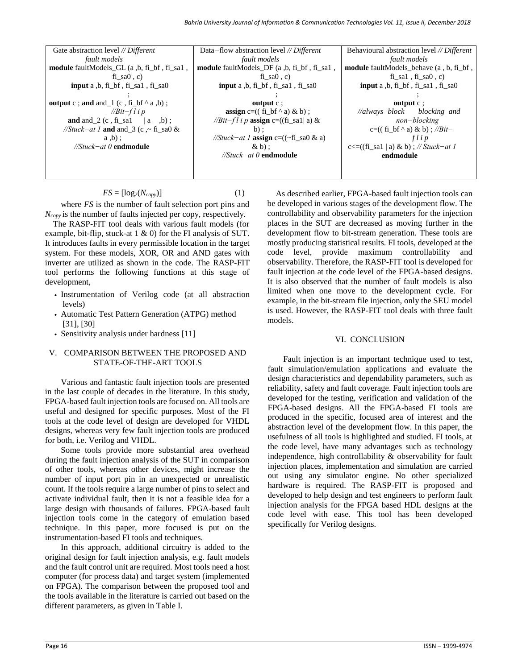| Gate abstraction level // Different          | Data-flow abstraction level $//$ Different           | Behavioural abstraction level // Different     |  |
|----------------------------------------------|------------------------------------------------------|------------------------------------------------|--|
| fault models                                 | fault models                                         | fault models                                   |  |
| module faultModels GL (a, b, fi bf, fi sal,  | module faultModels_DF (a,b, fi_bf, fi_sal,           | <b>module</b> faultModels behave (a, b, fi bf, |  |
| fi sa $(0, c)$                               | fi sa $(0, c)$                                       | $fi$ _sa1, $fi$ _sa0, c)                       |  |
| <b>input</b> a $,b, fi_bf, fi_sal, fi_sal$   | input a ,b, fi_bf, fi_sa1, fi_sa0                    | <b>input</b> a $,b, fi_bf, fi_sal, fi_sal$     |  |
|                                              |                                                      |                                                |  |
| output c; and and $(1 (c, fi_b f^* a, b))$ ; | output $c$ ;                                         | output $c$ :                                   |  |
| // $Bit$ -f l i p                            | <b>assign</b> c= $((f_1 \text{ bf} \land a) \& b)$ ; | //always block blocking and                    |  |
| and and $2(c, fi$ sal $ a, b)$ ;             | // <i>Bit-fl i p</i> assign c=((fi_sa1  a) &         | $non-blocking$                                 |  |
| //Stuck-at 1 and and 3 (c, $\sim$ fi sa0 &   | $b)$ :                                               | c=((fi bf ^ a) & b); // <i>Bit</i>             |  |
| $a,b$ :                                      | //Stuck-at 1 <b>assign</b> c=( $(\sim$ fi_sa0 & a)   | flip                                           |  |
| $//$ Stuck-at 0 endmodule                    | $\& b$ :                                             | c $\lt$ =((fi_sa1   a) & b) ; // Stuck-at 1    |  |
|                                              | $//$ Stuck-at 0 endmodule                            | endmodule                                      |  |
|                                              |                                                      |                                                |  |
|                                              |                                                      |                                                |  |

 $FS = [\log_2(N_{copy})]$  (1)

where *FS* is the number of fault selection port pins and *Ncopy* is the number of faults injected per copy, respectively.

The RASP-FIT tool deals with various fault models (for example, bit-flip, stuck-at 1 & 0) for the FI analysis of SUT. It introduces faults in every permissible location in the target system. For these models, XOR, OR and AND gates with inverter are utilized as shown in the code. The RASP-FIT tool performs the following functions at this stage of development,

- *•* Instrumentation of Verilog code (at all abstraction levels)
- *•* Automatic Test Pattern Generation (ATPG) method [31], [30]
- *•* Sensitivity analysis under hardness [11]

#### V. COMPARISON BETWEEN THE PROPOSED AND STATE-OF-THE-ART TOOLS

Various and fantastic fault injection tools are presented in the last couple of decades in the literature. In this study, FPGA-based fault injection tools are focused on. All tools are useful and designed for specific purposes. Most of the FI tools at the code level of design are developed for VHDL designs, whereas very few fault injection tools are produced for both, i.e. Verilog and VHDL.

Some tools provide more substantial area overhead during the fault injection analysis of the SUT in comparison of other tools, whereas other devices, might increase the number of input port pin in an unexpected or unrealistic count. If the tools require a large number of pins to select and activate individual fault, then it is not a feasible idea for a large design with thousands of failures. FPGA-based fault injection tools come in the category of emulation based technique. In this paper, more focused is put on the instrumentation-based FI tools and techniques.

In this approach, additional circuitry is added to the original design for fault injection analysis, e.g. fault models and the fault control unit are required. Most tools need a host computer (for process data) and target system (implemented on FPGA). The comparison between the proposed tool and the tools available in the literature is carried out based on the different parameters, as given in Table I.

As described earlier, FPGA-based fault injection tools can be developed in various stages of the development flow. The controllability and observability parameters for the injection places in the SUT are decreased as moving further in the development flow to bit-stream generation. These tools are mostly producing statistical results. FI tools, developed at the code level, provide maximum controllability and observability. Therefore, the RASP-FIT tool is developed for fault injection at the code level of the FPGA-based designs. It is also observed that the number of fault models is also limited when one move to the development cycle. For example, in the bit-stream file injection, only the SEU model is used. However, the RASP-FIT tool deals with three fault models.

#### VI. CONCLUSION

Fault injection is an important technique used to test, fault simulation/emulation applications and evaluate the design characteristics and dependability parameters, such as reliability, safety and fault coverage. Fault injection tools are developed for the testing, verification and validation of the FPGA-based designs. All the FPGA-based FI tools are produced in the specific, focused area of interest and the abstraction level of the development flow. In this paper, the usefulness of all tools is highlighted and studied. FI tools, at the code level, have many advantages such as technology independence, high controllability & observability for fault injection places, implementation and simulation are carried out using any simulator engine. No other specialized hardware is required. The RASP-FIT is proposed and developed to help design and test engineers to perform fault injection analysis for the FPGA based HDL designs at the code level with ease. This tool has been developed specifically for Verilog designs.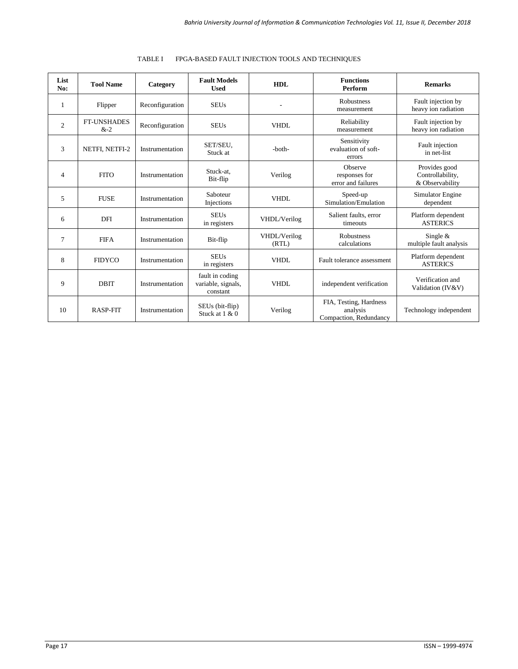| List<br>No:    | <b>Tool Name</b>            | Category        | <b>Fault Models</b><br><b>Used</b>                | <b>HDL</b>            | <b>Functions</b><br>Perform                                  | <b>Remarks</b>                                       |
|----------------|-----------------------------|-----------------|---------------------------------------------------|-----------------------|--------------------------------------------------------------|------------------------------------------------------|
| 1              | Flipper                     | Reconfiguration | <b>SEUs</b>                                       |                       | Robustness<br>measurement                                    | Fault injection by<br>heavy ion radiation            |
| 2              | <b>FT-UNSHADES</b><br>$&-2$ | Reconfiguration | <b>SEUs</b>                                       | VHDL                  | Reliability<br>measurement                                   | Fault injection by<br>heavy ion radiation            |
| 3              | NETFI, NETFI-2              | Instrumentation | SET/SEU,<br>Stuck at                              | -both-                | Sensitivity<br>evaluation of soft-<br>errors                 | Fault injection<br>in net-list                       |
| $\overline{4}$ | <b>FITO</b>                 | Instrumentation | Stuck-at.<br>Bit-flip                             | Verilog               | Observe<br>responses for<br>error and failures               | Provides good<br>Controllability,<br>& Observability |
| 5              | <b>FUSE</b>                 | Instrumentation | Saboteur<br>Injections                            | <b>VHDL</b>           | Speed-up<br>Simulation/Emulation                             | Simulator Engine<br>dependent                        |
| 6              | DFI                         | Instrumentation | <b>SEUs</b><br>in registers                       | VHDL/Verilog          | Salient faults, error<br>timeouts                            | Platform dependent<br><b>ASTERICS</b>                |
| $\overline{7}$ | <b>FIFA</b>                 | Instrumentation | Bit-flip                                          | VHDL/Verilog<br>(RTL) | <b>Robustness</b><br>calculations                            | Single $&$<br>multiple fault analysis                |
| 8              | <b>FIDYCO</b>               | Instrumentation | <b>SEUs</b><br>in registers                       | <b>VHDL</b>           | Fault tolerance assessment                                   | Platform dependent<br><b>ASTERICS</b>                |
| 9              | <b>DBIT</b>                 | Instrumentation | fault in coding<br>variable, signals,<br>constant | VHDL                  | independent verification                                     | Verification and<br>Validation (IV&V)                |
| 10             | <b>RASP-FIT</b>             | Instrumentation | SEUs (bit-flip)<br>Stuck at $1 \& 0$              | Verilog               | FIA, Testing, Hardness<br>analysis<br>Compaction, Redundancy | Technology independent                               |

## TABLE I FPGA-BASED FAULT INJECTION TOOLS AND TECHNIQUES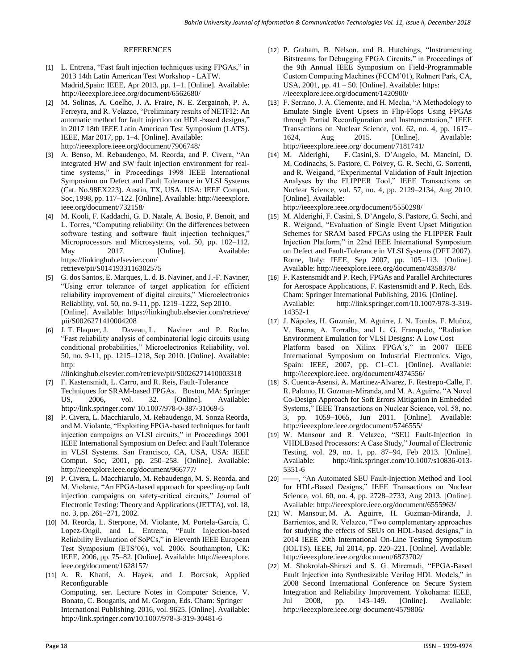#### REFERENCES

- [1] L. Entrena, "Fast fault injection techniques using FPGAs," in 2013 14th Latin American Test Workshop - LATW. Madrid,Spain: IEEE, Apr 2013, pp. 1–1. [Online]. Available: <http://ieeexplore.ieee.org/document/6562680/>
- [2] M. Solinas, A. Coelho, J. A. Fraire, N. E. Zergainoh, P. A. Ferreyra, and R. Velazco, "Preliminary results of NETFI2: An automatic method for fault injection on HDL-based designs," in 2017 18th IEEE Latin American Test Symposium (LATS). IEEE, Mar 2017, pp. 1–4. [Online]. Available: <http://ieeexplore.ieee.org/document/7906748/>
- [3] A. Benso, M. Rebaudengo, M. Reorda, and P. Civera, "An integrated HW and SW fault injection environment for realtime systems," in Proceedings 1998 IEEE International Symposium on Defect and Fault Tolerance in VLSI Systems (Cat. No.98EX223). Austin, TX, USA, USA: IEEE Comput. Soc, 1998, pp. 117–122. [Online]. Available[: http://ieeexplore.](http://ieeexplore.ieee.org/document/732158/)  [ieee.org/document/732158/](http://ieeexplore.ieee.org/document/732158/)
- [4] M. Kooli, F. Kaddachi, G. D. Natale, A. Bosio, P. Benoit, and L. Torres, "Computing reliability: On the differences between software testing and software fault injection techniques," Microprocessors and Microsystems, vol. 50, pp. 102–112, May 2017. [Online]. Available: [https://linkinghub.elsevier.com/](https://linkinghub.elsevier.com/retrieve/pii/S0141933116302575)  [retrieve/pii/S0141933116302575](https://linkinghub.elsevier.com/retrieve/pii/S0141933116302575)
- [5] G. dos Santos, E. Marques, L. d. B. Naviner, and J.-F. Naviner, "Using error tolerance of target application for efficient reliability improvement of digital circuits," Microelectronics Reliability, vol. 50, no. 9-11, pp. 1219–1222, Sep 2010. [Online]. Available: [https://linkinghub.elsevier.com/retrieve/](https://linkinghub.elsevier.com/retrieve/pii/S0026271410004208)  [pii/S0026271410004208](https://linkinghub.elsevier.com/retrieve/pii/S0026271410004208)
- [6] J. T. Flaquer, J. Daveau, L. Naviner and P. Roche, "Fast reliability analysis of combinatorial logic circuits using conditional probabilities," Microelectronics Reliability, vol. 50, no. 9-11, pp. 1215–1218, Sep 2010. [Online]. Available: [http:](http://linkinghub.elsevier.com/retrieve/pii/S0026271410003318)

[//linkinghub.elsevier.com/retrieve/pii/S0026271410003318](http://linkinghub.elsevier.com/retrieve/pii/S0026271410003318)

- [7] F. Kastensmidt, L. Carro, and R. Reis, Fault-Tolerance Techniques for SRAM-based FPGAs. Boston, MA: Springer US, 2006, vol. 32. [Online]. Available: [http://link.springer.com/ 10.1007/978-0-387-31069-5](http://link.springer.com/10.1007/978-0-387-31069-5)
- [8] P. Civera, L. Macchiarulo, M. Rebaudengo, M. Sonza Reorda, and M. Violante, "Exploiting FPGA-based techniques for fault injection campaigns on VLSI circuits," in Proceedings 2001 IEEE International Symposium on Defect and Fault Tolerance in VLSI Systems. San Francisco, CA, USA, USA: IEEE Comput. Soc, 2001, pp. 250–258. [Online]. Available: <http://ieeexplore.ieee.org/document/966777/>
- [9] P. Civera, L. Macchiarulo, M. Rebaudengo, M. S. Reorda, and M. Violante, "An FPGA-based approach for speeding-up fault injection campaigns on safety-critical circuits," Journal of Electronic Testing: Theory and Applications (JETTA), vol. 18, no. 3, pp. 261–271, 2002.
- [10] M. Reorda, L. Sterpone, M. Violante, M. Portela-Garcia, C. Lopez-Ongil, and L. Entrena, "Fault Injection-based Reliability Evaluation of SoPCs," in Eleventh IEEE European Test Symposium (ETS'06), vol. 2006. Southampton, UK: IEEE, 2006, pp. 75–82. [Online]. Available: [http://ieeexplore.](http://ieeexplore.ieee.org/document/1628157/)  [ieee.org/document/1628157/](http://ieeexplore.ieee.org/document/1628157/)
- [11] A. R. Khatri, A. Hayek, and J. Borcsok, Applied Reconfigurable Computing, ser. Lecture Notes in Computer Science, V. Bonato, C. Bouganis, and M. Gorgon, Eds. Cham: Springer International Publishing, 2016, vol. 9625. [Online]. Available: <http://link.springer.com/10.1007/978-3-319-30481-6>
- [12] P. Graham, B. Nelson, and B. Hutchings, "Instrumenting Bitstreams for Debugging FPGA Circuits," in Proceedings of the 9th Annual IEEE Symposium on Field-Programmable Custom Computing Machines (FCCM'01), Rohnert Park, CA, USA,  $2001$ , pp.  $41 - 50$ . [Online]. Available[: https:](https://ieeexplore.ieee.org/document/1420900/) [//ieeexplore.ieee.org/document/1420900/](https://ieeexplore.ieee.org/document/1420900/)
- [13] F. Serrano, J. A. Clemente, and H. Mecha, "A Methodology to Emulate Single Event Upsets in Flip-Flops Using FPGAs through Partial Reconfiguration and Instrumentation," IEEE Transactions on Nuclear Science, vol. 62, no. 4, pp. 1617– 1624, Aug 2015. [Online]. Available: [http://ieeexplore.ieee.org/ document/7181741/](http://ieeexplore.ieee.org/document/7181741/)
- [14] M. Alderighi, F. Casini,S. D'Angelo, M. Mancini, D. M. Codinachs, S. Pastore, C. Poivey, G. R. Sechi, G. Sorrenti, and R. Weigand, "Experimental Validation of Fault Injection Analyses by the FLIPPER Tool," IEEE Transactions on Nuclear Science, vol. 57, no. 4, pp. 2129–2134, Aug 2010. [Online]. Available:

<http://ieeexplore.ieee.org/document/5550298/>

- [15] M. Alderighi, F. Casini, S. D'Angelo, S. Pastore, G. Sechi, and R. Weigand, "Evaluation of Single Event Upset Mitigation Schemes for SRAM based FPGAs using the FLIPPER Fault Injection Platform," in 22nd IEEE International Symposium on Defect and Fault-Tolerance in VLSI Systems (DFT 2007). Rome, Italy: IEEE, Sep 2007, pp. 105–113. [Online]. Available[: http://ieeexplore.ieee.org/document/4358378/](http://ieeexplore.ieee.org/document/4358378/)
- [16] F. Kastensmidt and P. Rech, FPGAs and Parallel Architectures for Aerospace Applications, F. Kastensmidt and P. Rech, Eds. Cham: Springer International Publishing, 2016. [Online]. Available: [http://link.springer.com/10.1007/978-3-319-](http://link.springer.com/10.1007/978-3-319-14352-1) [14352-1](http://link.springer.com/10.1007/978-3-319-14352-1)
- [17] J. Nápoles, H. Guzmán, M. Aguirre, J. N. Tombs, F. Muñoz, V. Baena, A. Torralba, and L. G. Franquelo, "Radiation Environment Emulation for VLSI Designs: A Low Cost Platform based on Xilinx FPGA's," in 2007 IEEE International Symposium on Industrial Electronics. Vigo, Spain: IEEE, 2007, pp. C1–C1. [Online]. Available: [http://ieeexplore.ieee. org/document/4374556/](http://ieeexplore.ieee.org/document/4374556/)
- [18] S. Cuenca-Asensi, A. Martinez-Alvarez, F. Restrepo-Calle, F. R. Palomo, H. Guzman-Miranda, and M. A. Aguirre, "A Novel Co-Design Approach for Soft Errors Mitigation in Embedded Systems," IEEE Transactions on Nuclear Science, vol. 58, no. 3, pp. 1059–1065, Jun 2011. [Online]. Available: <http://ieeexplore.ieee.org/document/5746555/>
- [19] W. Mansour and R. Velazco, "SEU Fault-Injection in VHDLBased Processors: A Case Study," Journal of Electronic Testing, vol. 29, no. 1, pp. 87–94, Feb 2013. [Online]. Available: [http://link.springer.com/10.1007/s10836-013-](http://link.springer.com/10.1007/s10836-013-5351-6) [5351-6](http://link.springer.com/10.1007/s10836-013-5351-6)
- [20] ——, "An Automated SEU Fault-Injection Method and Tool for HDL-Based Designs," IEEE Transactions on Nuclear Science, vol. 60, no. 4, pp. 2728–2733, Aug 2013. [Online]. Available[: http://ieeexplore.ieee.org/document/6555963/](http://ieeexplore.ieee.org/document/6555963/)
- [21] W. Mansour, M. A. Aguirre, H. Guzman-Miranda, J. Barrientos, and R. Velazco, "Two complementary approaches for studying the effects of SEUs on HDL-based designs," in 2014 IEEE 20th International On-Line Testing Symposium (IOLTS). IEEE, Jul 2014, pp. 220–221. [Online]. Available: <http://ieeexplore.ieee.org/document/6873702/>
- [22] M. Shokrolah-Shirazi and S. G. Miremadi, "FPGA-Based Fault Injection into Synthesizable Verilog HDL Models," in 2008 Second International Conference on Secure System Integration and Reliability Improvement. Yokohama: IEEE, Jul 2008, pp. 143–149. [Online]. Available: [http://ieeexplore.ieee.org/ document/4579806/](http://ieeexplore.ieee.org/document/4579806/)